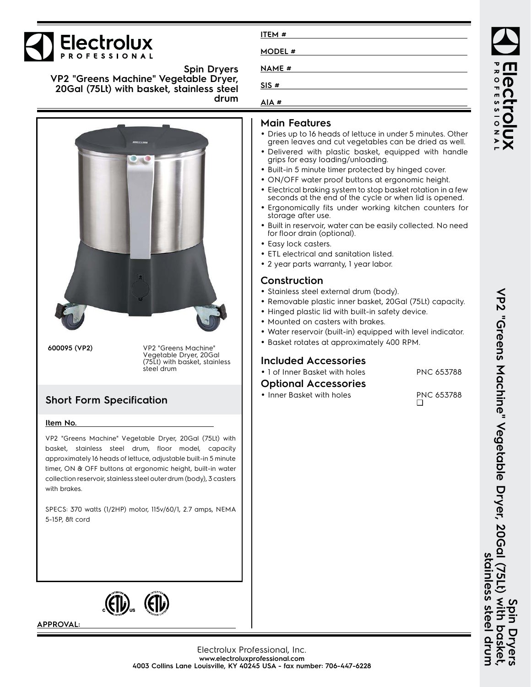

**Spin Dryers VP2 "Greens Machine" Vegetable Dryer, 20Gal (75Lt) with basket, stainless steel drum**





**APPROVAL:**

| MODEL #      |  |
|--------------|--|
| <b>NAME#</b> |  |
| SIS#         |  |

| AIA # |  |
|-------|--|

**ITEM #**

### **Main Features**

- Dries up to 16 heads of lettuce in under 5 minutes. Other green leaves and cut vegetables can be dried as well.
- Delivered with plastic basket, equipped with handle grips for easy loading/unloading.
- Built-in 5 minute timer protected by hinged cover.
- ON/OFF water proof buttons at ergonomic height.
- Electrical braking system to stop basket rotation in a few seconds at the end of the cycle or when lid is opened.
- • Ergonomically fits under working kitchen counters for storage after use.
- Built in reservoir, water can be easily collected. No need for floor drain (optional).
- Easy lock casters.
- ETL electrical and sanitation listed.
- 2 year parts warranty, 1 year labor.

# **Construction**

- Stainless steel external drum (body).
- Removable plastic inner basket, 20Gal (75Lt) capacity.
- Hinged plastic lid with built-in safety device.
- Mounted on casters with brakes.
- Water reservoir (built-in) equipped with level indicator.
- Basket rotates at approximately 400 RPM.

# **Included Accessories**

• 1 of Inner Basket with holes PNC 653788

## **Optional Accessories**

• Inner Basket with holes PNC 653788 ❑

VP2 "Geens Machine" Vegetable Dryer, 20Gal (75Lt) **Spin Dryers VP2 "Greens Machine" Vegetable Dryer, 20Gal (75Lt) with basket,** stainless steel drum **stainless steel drum** With **Daske** ryers